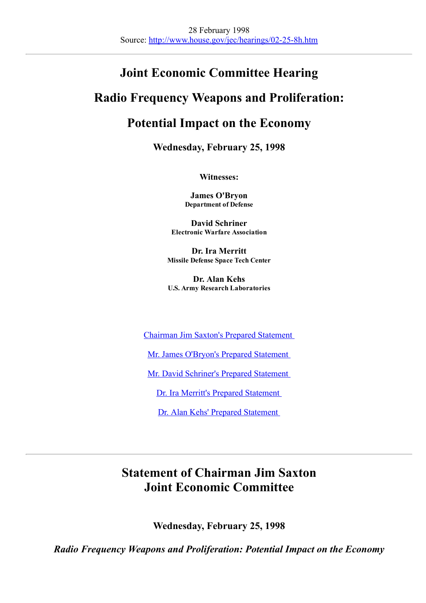# Joint Economic Committee Hearing

# Radio Frequency Weapons and Proliferation:

# Potential Impact on the Economy

Wednesday, February 25, 1998

Witnesses:

James O'Bryon Department of Defense

David Schriner Electronic Warfare Association

Dr. Ira Merritt Missile Defense Space Tech Center

Dr. Alan Kehs U.S. Army Research Laboratories

Chairman Jim Saxton's Prepared [Statement](#page-0-0)

Mr. James O'Bryon's Prepared [Statement](#page-1-0)

Mr. David Schriner's Prepared [Statement](#page-4-0)

Dr. Ira Merritt's Prepared [Statement](#page-8-0)

Dr. Alan Kehs' Prepared [Statement](#page-16-0)

# <span id="page-0-0"></span>Statement of Chairman Jim Saxton Joint Economic Committee

Wednesday, February 25, 1998

Radio Frequency Weapons and Proliferation: Potential Impact on the Economy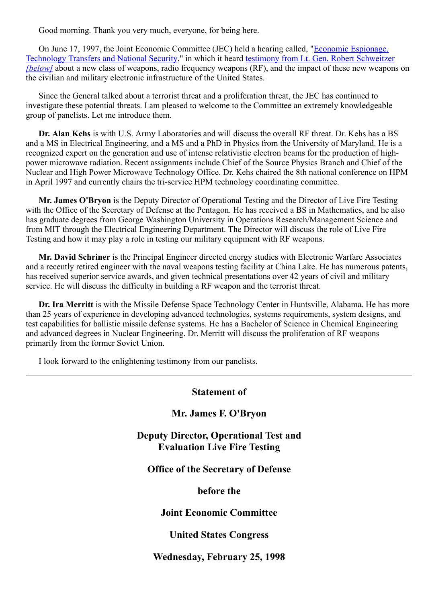Good morning. Thank you very much, everyone, for being here.

On June 17, 1997, the Joint Economic Committee (JEC) held a hearing called, "Economic [Espionage,](http://www.house.gov/jec/hearings/06-17-7h.htm) [Technology](http://www.house.gov/jec/hearings/06-17-7h.htm) Transfers and National Security," in which it heard testimony from Lt. Gen. Robert [Schweitzer](#page-18-0) *[\[below\]](#page-18-0)* about a new class of weapons, radio frequency weapons (RF), and the impact of these new weapons on the civilian and military electronic infrastructure of the United States.

Since the General talked about a terrorist threat and a proliferation threat, the JEC has continued to investigate these potential threats. I am pleased to welcome to the Committee an extremely knowledgeable group of panelists. Let me introduce them.

Dr. Alan Kehs is with U.S. Army Laboratories and will discuss the overall RF threat. Dr. Kehs has a BS and a MS in Electrical Engineering, and a MS and a PhD in Physics from the University of Maryland. He is a recognized expert on the generation and use of intense relativistic electron beams for the production of highpower microwave radiation. Recent assignments include Chief of the Source Physics Branch and Chief of the Nuclear and High Power Microwave Technology Office. Dr. Kehs chaired the 8th national conference on HPM in April 1997 and currently chairs the tri-service HPM technology coordinating committee.

Mr. James O'Bryon is the Deputy Director of Operational Testing and the Director of Live Fire Testing with the Office of the Secretary of Defense at the Pentagon. He has received a BS in Mathematics, and he also has graduate degrees from George Washington University in Operations Research/Management Science and from MIT through the Electrical Engineering Department. The Director will discuss the role of Live Fire Testing and how it may play a role in testing our military equipment with RF weapons.

Mr. David Schriner is the Principal Engineer directed energy studies with Electronic Warfare Associates and a recently retired engineer with the naval weapons testing facility at China Lake. He has numerous patents, has received superior service awards, and given technical presentations over 42 years of civil and military service. He will discuss the difficulty in building a RF weapon and the terrorist threat.

Dr. Ira Merritt is with the Missile Defense Space Technology Center in Huntsville, Alabama. He has more than 25 years of experience in developing advanced technologies, systems requirements, system designs, and test capabilities for ballistic missile defense systems. He has a Bachelor of Science in Chemical Engineering and advanced degrees in Nuclear Engineering. Dr. Merritt will discuss the proliferation of RF weapons primarily from the former Soviet Union.

I look forward to the enlightening testimony from our panelists.

#### <span id="page-1-0"></span>Statement of

#### Mr. James F. O'Bryon

Deputy Director, Operational Test and Evaluation Live Fire Testing

## Office of the Secretary of Defense

before the

## Joint Economic Committee

## United States Congress

#### Wednesday, February 25, 1998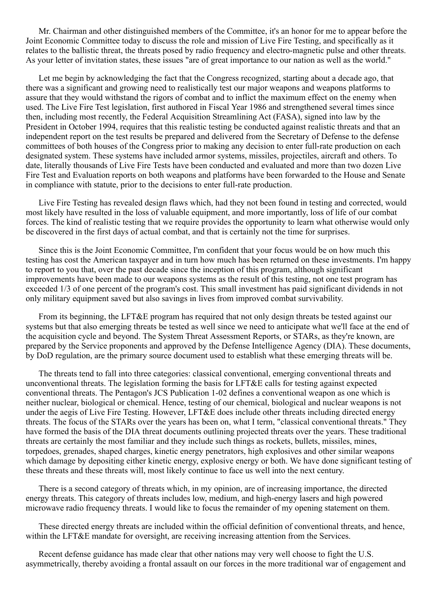Mr. Chairman and other distinguished members of the Committee, it's an honor for me to appear before the Joint Economic Committee today to discuss the role and mission of Live Fire Testing, and specifically as it relates to the ballistic threat, the threats posed by radio frequency and electro-magnetic pulse and other threats. As your letter of invitation states, these issues "are of great importance to our nation as well as the world."

Let me begin by acknowledging the fact that the Congress recognized, starting about a decade ago, that there was a significant and growing need to realistically test our major weapons and weapons platforms to assure that they would withstand the rigors of combat and to inflict the maximum effect on the enemy when used. The Live Fire Test legislation, first authored in Fiscal Year 1986 and strengthened several times since then, including most recently, the Federal Acquisition Streamlining Act (FASA), signed into law by the President in October 1994, requires that this realistic testing be conducted against realistic threats and that an independent report on the test results be prepared and delivered from the Secretary of Defense to the defense committees of both houses of the Congress prior to making any decision to enter full-rate production on each designated system. These systems have included armor systems, missiles, projectiles, aircraft and others. To date, literally thousands of Live Fire Tests have been conducted and evaluated and more than two dozen Live Fire Test and Evaluation reports on both weapons and platforms have been forwarded to the House and Senate in compliance with statute, prior to the decisions to enter full-rate production.

Live Fire Testing has revealed design flaws which, had they not been found in testing and corrected, would most likely have resulted in the loss of valuable equipment, and more importantly, loss of life of our combat forces. The kind of realistic testing that we require provides the opportunity to learn what otherwise would only be discovered in the first days of actual combat, and that is certainly not the time for surprises.

Since this is the Joint Economic Committee, I'm confident that your focus would be on how much this testing has cost the American taxpayer and in turn how much has been returned on these investments. I'm happy to report to you that, over the past decade since the inception of this program, although significant improvements have been made to our weapons systems as the result of this testing, not one test program has exceeded 1/3 of one percent of the program's cost. This small investment has paid significant dividends in not only military equipment saved but also savings in lives from improved combat survivability.

From its beginning, the LFT&E program has required that not only design threats be tested against our systems but that also emerging threats be tested as well since we need to anticipate what we'll face at the end of the acquisition cycle and beyond. The System Threat Assessment Reports, or STARs, as they're known, are prepared by the Service proponents and approved by the Defense Intelligence Agency (DIA). These documents, by DoD regulation, are the primary source document used to establish what these emerging threats will be.

The threats tend to fall into three categories: classical conventional, emerging conventional threats and unconventional threats. The legislation forming the basis for LFT&E calls for testing against expected conventional threats. The Pentagon's JCS Publication 1-02 defines a conventional weapon as one which is neither nuclear, biological or chemical. Hence, testing of our chemical, biological and nuclear weapons is not under the aegis of Live Fire Testing. However, LFT&E does include other threats including directed energy threats. The focus of the STARs over the years has been on, what I term, "classical conventional threats." They have formed the basis of the DIA threat documents outlining projected threats over the years. These traditional threats are certainly the most familiar and they include such things as rockets, bullets, missiles, mines, torpedoes, grenades, shaped charges, kinetic energy penetrators, high explosives and other similar weapons which damage by depositing either kinetic energy, explosive energy or both. We have done significant testing of these threats and these threats will, most likely continue to face us well into the next century.

There is a second category of threats which, in my opinion, are of increasing importance, the directed energy threats. This category of threats includes low, medium, and high-energy lasers and high powered microwave radio frequency threats. I would like to focus the remainder of my opening statement on them.

These directed energy threats are included within the official definition of conventional threats, and hence, within the LFT&E mandate for oversight, are receiving increasing attention from the Services.

Recent defense guidance has made clear that other nations may very well choose to fight the U.S. asymmetrically, thereby avoiding a frontal assault on our forces in the more traditional war of engagement and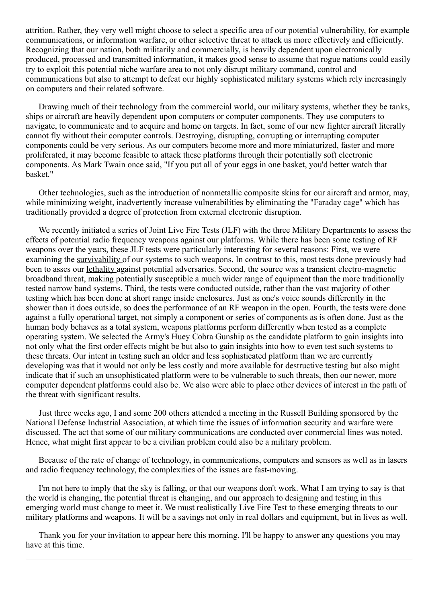attrition. Rather, they very well might choose to select a specific area of our potential vulnerability, for example communications, or information warfare, or other selective threat to attack us more effectively and efficiently. Recognizing that our nation, both militarily and commercially, is heavily dependent upon electronically produced, processed and transmitted information, it makes good sense to assume that rogue nations could easily try to exploit this potential niche warfare area to not only disrupt military command, control and communications but also to attempt to defeat our highly sophisticated military systems which rely increasingly on computers and their related software.

Drawing much of their technology from the commercial world, our military systems, whether they be tanks, ships or aircraft are heavily dependent upon computers or computer components. They use computers to navigate, to communicate and to acquire and home on targets. In fact, some of our new fighter aircraft literally cannot fly without their computer controls. Destroying, disrupting, corrupting or interrupting computer components could be very serious. As our computers become more and more miniaturized, faster and more proliferated, it may become feasible to attack these platforms through their potentially soft electronic components. As Mark Twain once said, "If you put all of your eggs in one basket, you'd better watch that basket."

Other technologies, such as the introduction of nonmetallic composite skins for our aircraft and armor, may, while minimizing weight, inadvertently increase vulnerabilities by eliminating the "Faraday cage" which has traditionally provided a degree of protection from external electronic disruption.

We recently initiated a series of Joint Live Fire Tests (JLF) with the three Military Departments to assess the effects of potential radio frequency weapons against our platforms. While there has been some testing of RF weapons over the years, these JLF tests were particularly interesting for several reasons: First, we were examining the survivability of our systems to such weapons. In contrast to this, most tests done previously had been to asses our lethality against potential adversaries. Second, the source was a transient electro-magnetic broadband threat, making potentially susceptible a much wider range of equipment than the more traditionally tested narrow band systems. Third, the tests were conducted outside, rather than the vast majority of other testing which has been done at short range inside enclosures. Just as one's voice sounds differently in the shower than it does outside, so does the performance of an RF weapon in the open. Fourth, the tests were done against a fully operational target, not simply a component or series of components as is often done. Just as the human body behaves as a total system, weapons platforms perform differently when tested as a complete operating system. We selected the Army's Huey Cobra Gunship as the candidate platform to gain insights into not only what the first order effects might be but also to gain insights into how to even test such systems to these threats. Our intent in testing such an older and less sophisticated platform than we are currently developing was that it would not only be less costly and more available for destructive testing but also might indicate that if such an unsophisticated platform were to be vulnerable to such threats, then our newer, more computer dependent platforms could also be. We also were able to place other devices of interest in the path of the threat with significant results.

Just three weeks ago, I and some 200 others attended a meeting in the Russell Building sponsored by the National Defense Industrial Association, at which time the issues of information security and warfare were discussed. The act that some of our military communications are conducted over commercial lines was noted. Hence, what might first appear to be a civilian problem could also be a military problem.

Because of the rate of change of technology, in communications, computers and sensors as well as in lasers and radio frequency technology, the complexities of the issues are fast-moving.

I'm not here to imply that the sky is falling, or that our weapons don't work. What I am trying to say is that the world is changing, the potential threat is changing, and our approach to designing and testing in this emerging world must change to meet it. We must realistically Live Fire Test to these emerging threats to our military platforms and weapons. It will be a savings not only in real dollars and equipment, but in lives as well.

Thank you for your invitation to appear here this morning. I'll be happy to answer any questions you may have at this time.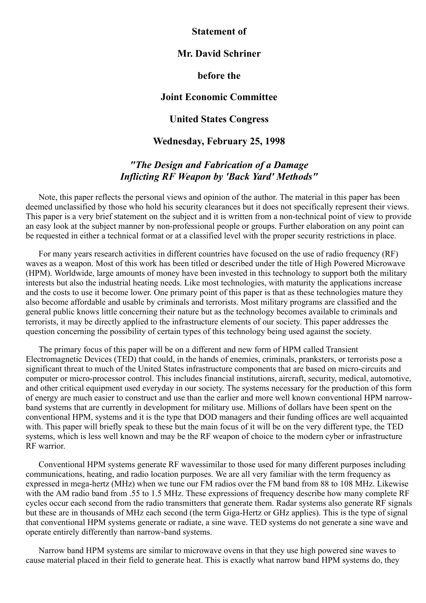#### <span id="page-4-0"></span>Statement of

## Mr. David Schriner

#### before the

#### Joint Economic Committee

### United States Congress

#### Wednesday, February 25, 1998

# "The Design and Fabrication of a Damage Inflicting RF Weapon by 'Back Yard' Methods"

Note, this paper reflects the personal views and opinion of the author. The material in this paper has been deemed unclassified by those who hold his security clearances but it does not specifically represent their views. This paper is a very brief statement on the subject and it is written from a non-technical point of view to provide an easy look at the subject manner by non-professional people or groups. Further elaboration on any point can be requested in either a technical format or at a classified level with the proper security restrictions in place.

For many years research activities in different countries have focused on the use of radio frequency (RF) waves as a weapon. Most of this work has been titled or described under the title of High Powered Microwave (HPM). Worldwide, large amounts of money have been invested in this technology to support both the military interests but also the industrial heating needs. Like most technologies, with maturity the applications increase and the costs to use it become lower. One primary point of this paper is that as these technologies mature they also become affordable and usable by criminals and terrorists. Most military programs are classified and the general public knows little concerning their nature but as the technology becomes available to criminals and terrorists, it may be directly applied to the infrastructure elements of our society. This paper addresses the question concerning the possibility of certain types of this technology being used against the society.

The primary focus of this paper will be on a different and new form of HPM called Transient Electromagnetic Devices (TED) that could, in the hands of enemies, criminals, pranksters, or terrorists pose a significant threat to much of the United States infrastructure components that are based on micro-circuits and computer or micro-processor control. This includes financial institutions, aircraft, security, medical, automotive, and other critical equipment used everyday in our society. The systems necessary for the production of this form of energy are much easier to construct and use than the earlier and more well known conventional HPM narrowband systems that are currently in development for military use. Millions of dollars have been spent on the conventional HPM, systems and it is the type that DOD managers and their funding offices are well acquainted with. This paper will briefly speak to these but the main focus of it will be on the very different type, the TED systems, which is less well known and may be the RF weapon of choice to the modern cyber or infrastructure RF warrior.

Conventional HPM systems generate RF wavessimilar to those used for many different purposes including communications, heating, and radio location purposes. We are all very familiar with the term frequency as expressed in mega-hertz (MHz) when we tune our FM radios over the FM band from 88 to 108 MHz. Likewise with the AM radio band from .55 to 1.5 MHz. These expressions of frequency describe how many complete RF cycles occur each second from the radio transmitters that generate them. Radar systems also generate RF signals but these are in thousands of MHz each second (the term Giga-Hertz or GHz applies). This is the type of signal that conventional HPM systems generate or radiate, a sine wave. TED systems do not generate a sine wave and operate entirely differently than narrow-band systems.

Narrow band HPM systems are similar to microwave ovens in that they use high powered sine waves to cause material placed in their field to generate heat. This is exactly what narrow band HPM systems do, they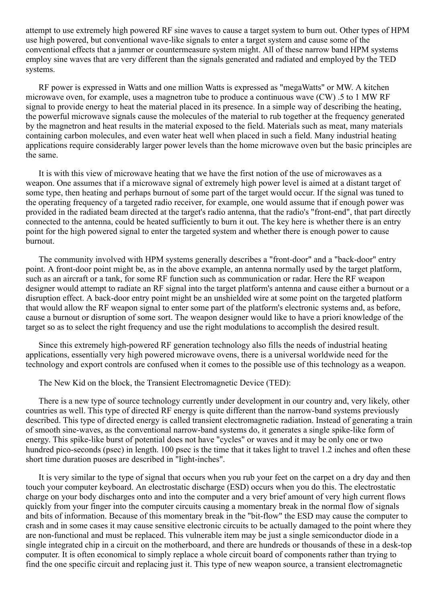attempt to use extremely high powered RF sine waves to cause a target system to burn out. Other types of HPM use high powered, but conventional wave-like signals to enter a target system and cause some of the conventional effects that a jammer or countermeasure system might. All of these narrow band HPM systems employ sine waves that are very different than the signals generated and radiated and employed by the TED systems.

RF power is expressed in Watts and one million Watts is expressed as "megaWatts" or MW. A kitchen microwave oven, for example, uses a magnetron tube to produce a continuous wave (CW) .5 to 1 MW RF signal to provide energy to heat the material placed in its presence. In a simple way of describing the heating, the powerful microwave signals cause the molecules of the material to rub together at the frequency generated by the magnetron and heat results in the material exposed to the field. Materials such as meat, many materials containing carbon molecules, and even water heat well when placed in such a field. Many industrial heating applications require considerably larger power levels than the home microwave oven but the basic principles are the same.

It is with this view of microwave heating that we have the first notion of the use of microwaves as a weapon. One assumes that if a microwave signal of extremely high power level is aimed at a distant target of some type, then heating and perhaps burnout of some part of the target would occur. If the signal was tuned to the operating frequency of a targeted radio receiver, for example, one would assume that if enough power was provided in the radiated beam directed at the target's radio antenna, that the radio's "frontend", that part directly connected to the antenna, could be heated sufficiently to burn it out. The key here is whether there is an entry point for the high powered signal to enter the targeted system and whether there is enough power to cause burnout.

The community involved with HPM systems generally describes a "front-door" and a "back-door" entry point. A front-door point might be, as in the above example, an antenna normally used by the target platform, such as an aircraft or a tank, for some RF function such as communication or radar. Here the RF weapon designer would attempt to radiate an RF signal into the target platform's antenna and cause either a burnout or a disruption effect. A back-door entry point might be an unshielded wire at some point on the targeted platform that would allow the RF weapon signal to enter some part of the platform's electronic systems and, as before, cause a burnout or disruption of some sort. The weapon designer would like to have a priori knowledge of the target so as to select the right frequency and use the right modulations to accomplish the desired result.

Since this extremely high-powered RF generation technology also fills the needs of industrial heating applications, essentially very high powered microwave ovens, there is a universal worldwide need for the technology and export controls are confused when it comes to the possible use of this technology as a weapon.

The New Kid on the block, the Transient Electromagnetic Device (TED):

There is a new type of source technology currently under development in our country and, very likely, other countries as well. This type of directed RF energy is quite different than the narrow-band systems previously described. This type of directed energy is called transient electromagnetic radiation. Instead of generating a train of smooth sine-waves, as the conventional narrow-band systems do, it generates a single spike-like form of energy. This spike-like burst of potential does not have "cycles" or waves and it may be only one or two hundred pico-seconds (psec) in length. 100 psec is the time that it takes light to travel 1.2 inches and often these short time duration puoses are described in "light-inches".

It is very similar to the type of signal that occurs when you rub your feet on the carpet on a dry day and then touch your computer keyboard. An electrostatic discharge (ESD) occurs when you do this. The electrostatic charge on your body discharges onto and into the computer and a very brief amount of very high current flows quickly from your finger into the computer circuits causing a momentary break in the normal flow of signals and bits of information. Because of this momentary break in the "bit-flow" the ESD may cause the computer to crash and in some cases it may cause sensitive electronic circuits to be actually damaged to the point where they are non-functional and must be replaced. This vulnerable item may be just a single semiconductor diode in a single integrated chip in a circuit on the motherboard, and there are hundreds or thousands of these in a desk-top computer. It is often economical to simply replace a whole circuit board of components rather than trying to find the one specific circuit and replacing just it. This type of new weapon source, a transient electromagnetic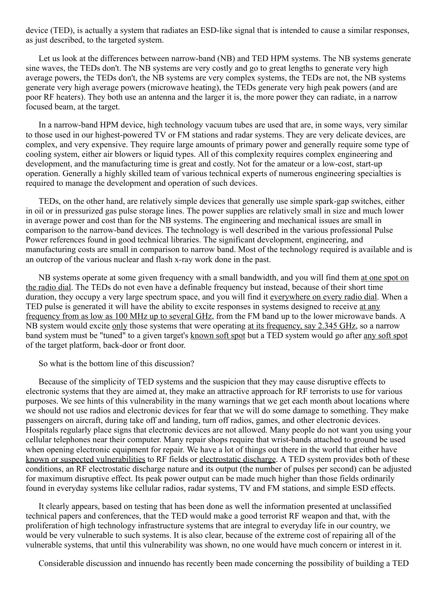device (TED), is actually a system that radiates an ESD-like signal that is intended to cause a similar responses, as just described, to the targeted system.

Let us look at the differences between narrow-band (NB) and TED HPM systems. The NB systems generate sine waves, the TEDs don't. The NB systems are very costly and go to great lengths to generate very high average powers, the TEDs don't, the NB systems are very complex systems, the TEDs are not, the NB systems generate very high average powers (microwave heating), the TEDs generate very high peak powers (and are poor RF heaters). They both use an antenna and the larger it is, the more power they can radiate, in a narrow focused beam, at the target.

In a narrow-band HPM device, high technology vacuum tubes are used that are, in some ways, very similar to those used in our highest-powered TV or FM stations and radar systems. They are very delicate devices, are complex, and very expensive. They require large amounts of primary power and generally require some type of cooling system, either air blowers or liquid types. All of this complexity requires complex engineering and development, and the manufacturing time is great and costly. Not for the amateur or a low-cost, start-up operation. Generally a highly skilled team of various technical experts of numerous engineering specialties is required to manage the development and operation of such devices.

TEDs, on the other hand, are relatively simple devices that generally use simple spark-gap switches, either in oil or in pressurized gas pulse storage lines. The power supplies are relatively small in size and much lower in average power and cost than for the NB systems. The engineering and mechanical issues are small in comparison to the narrow-band devices. The technology is well described in the various professional Pulse Power references found in good technical libraries. The significant development, engineering, and manufacturing costs are small in comparison to narrow band. Most of the technology required is available and is an outcrop of the various nuclear and flash x-ray work done in the past.

NB systems operate at some given frequency with a small bandwidth, and you will find them at one spot on the radio dial. The TEDs do not even have a definable frequency but instead, because of their short time duration, they occupy a very large spectrum space, and you will find it everywhere on every radio dial. When a TED pulse is generated it will have the ability to excite responses in systems designed to receive at any frequency from as low as 100 MHz up to several GHz, from the FM band up to the lower microwave bands. A NB system would excite only those systems that were operating at its frequency, say 2.345 GHz, so a narrow band system must be "tuned" to a given target's known soft spot but a TED system would go after any soft spot of the target platform, back-door or front door.

So what is the bottom line of this discussion?

Because of the simplicity of TED systems and the suspicion that they may cause disruptive effects to electronic systems that they are aimed at, they make an attractive approach for RF terrorists to use for various purposes. We see hints of this vulnerability in the many warnings that we get each month about locations where we should not use radios and electronic devices for fear that we will do some damage to something. They make passengers on aircraft, during take off and landing, turn off radios, games, and other electronic devices. Hospitals regularly place signs that electronic devices are not allowed. Many people do not want you using your cellular telephones near their computer. Many repair shops require that wrist-bands attached to ground be used when opening electronic equipment for repair. We have a lot of things out there in the world that either have known or suspected vulnerabilities to RF fields or electrostatic discharge. A TED system provides both of these conditions, an RF electrostatic discharge nature and its output (the number of pulses per second) can be adjusted for maximum disruptive effect. Its peak power output can be made much higher than those fields ordinarily found in everyday systems like cellular radios, radar systems, TV and FM stations, and simple ESD effects.

It clearly appears, based on testing that has been done as well the information presented at unclassified technical papers and conferences, that the TED would make a good terrorist RF weapon and that, with the proliferation of high technology infrastructure systems that are integral to everyday life in our country, we would be very vulnerable to such systems. It is also clear, because of the extreme cost of repairing all of the vulnerable systems, that until this vulnerability was shown, no one would have much concern or interest in it.

Considerable discussion and innuendo has recently been made concerning the possibility of building a TED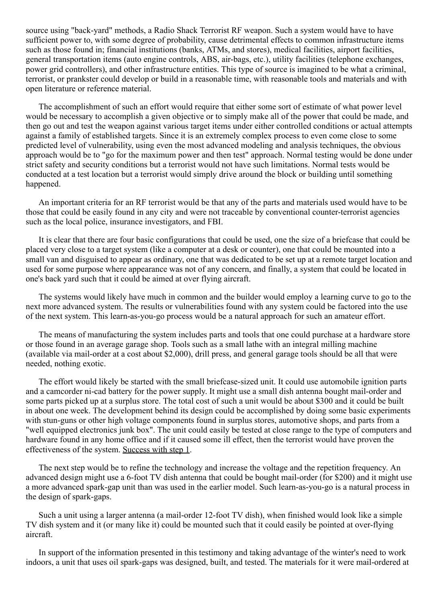source using "back-yard" methods, a Radio Shack Terrorist RF weapon. Such a system would have to have sufficient power to, with some degree of probability, cause detrimental effects to common infrastructure items such as those found in; financial institutions (banks, ATMs, and stores), medical facilities, airport facilities, general transportation items (auto engine controls, ABS, air-bags, etc.), utility facilities (telephone exchanges, power grid controllers), and other infrastructure entities. This type of source is imagined to be what a criminal, terrorist, or prankster could develop or build in a reasonable time, with reasonable tools and materials and with open literature or reference material.

The accomplishment of such an effort would require that either some sort of estimate of what power level would be necessary to accomplish a given objective or to simply make all of the power that could be made, and then go out and test the weapon against various target items under either controlled conditions or actual attempts against a family of established targets. Since it is an extremely complex process to even come close to some predicted level of vulnerability, using even the most advanced modeling and analysis techniques, the obvious approach would be to "go for the maximum power and then test" approach. Normal testing would be done under strict safety and security conditions but a terrorist would not have such limitations. Normal tests would be conducted at a test location but a terrorist would simply drive around the block or building until something happened.

An important criteria for an RF terrorist would be that any of the parts and materials used would have to be those that could be easily found in any city and were not traceable by conventional counter-terrorist agencies such as the local police, insurance investigators, and FBI.

It is clear that there are four basic configurations that could be used, one the size of a briefcase that could be placed very close to a target system (like a computer at a desk or counter), one that could be mounted into a small van and disguised to appear as ordinary, one that was dedicated to be set up at a remote target location and used for some purpose where appearance was not of any concern, and finally, a system that could be located in one's back yard such that it could be aimed at over flying aircraft.

The systems would likely have much in common and the builder would employ a learning curve to go to the next more advanced system. The results or vulnerabilities found with any system could be factored into the use of the next system. This learn-as-you-go process would be a natural approach for such an amateur effort.

The means of manufacturing the system includes parts and tools that one could purchase at a hardware store or those found in an average garage shop. Tools such as a small lathe with an integral milling machine (available via mail-order at a cost about  $$2,000$ ), drill press, and general garage tools should be all that were needed, nothing exotic.

The effort would likely be started with the small briefcase-sized unit. It could use automobile ignition parts and a camcorder ni-cad battery for the power supply. It might use a small dish antenna bought mail-order and some parts picked up at a surplus store. The total cost of such a unit would be about \$300 and it could be built in about one week. The development behind its design could be accomplished by doing some basic experiments with stun-guns or other high voltage components found in surplus stores, automotive shops, and parts from a "well equipped electronics junk box". The unit could easily be tested at close range to the type of computers and hardware found in any home office and if it caused some ill effect, then the terrorist would have proven the effectiveness of the system. Success with step 1.

The next step would be to refine the technology and increase the voltage and the repetition frequency. An advanced design might use a 6-foot TV dish antenna that could be bought mail-order (for \$200) and it might use a more advanced spark-gap unit than was used in the earlier model. Such learn-as-you-go is a natural process in the design of spark-gaps.

Such a unit using a larger antenna (a mail-order 12-foot TV dish), when finished would look like a simple TV dish system and it (or many like it) could be mounted such that it could easily be pointed at over-flying aircraft.

In support of the information presented in this testimony and taking advantage of the winter's need to work indoors, a unit that uses oil spark-gaps was designed, built, and tested. The materials for it were mail-ordered at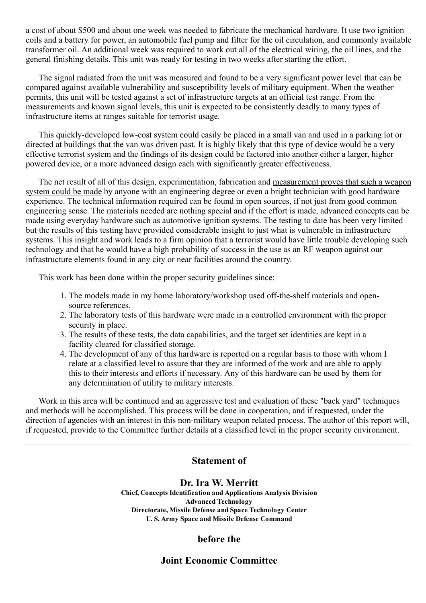a cost of about \$500 and about one week was needed to fabricate the mechanical hardware. It use two ignition coils and a battery for power, an automobile fuel pump and filter for the oil circulation, and commonly available transformer oil. An additional week was required to work out all of the electrical wiring, the oil lines, and the general finishing details. This unit was ready for testing in two weeks after starting the effort.

The signal radiated from the unit was measured and found to be a very significant power level that can be compared against available vulnerability and susceptibility levels of military equipment. When the weather permits, this unit will be tested against a set of infrastructure targets at an official test range. From the measurements and known signal levels, this unit is expected to be consistently deadly to many types of infrastructure items at ranges suitable for terrorist usage.

This quickly-developed low-cost system could easily be placed in a small van and used in a parking lot or directed at buildings that the van was driven past. It is highly likely that this type of device would be a very effective terrorist system and the findings of its design could be factored into another either a larger, higher powered device, or a more advanced design each with significantly greater effectiveness.

The net result of all of this design, experimentation, fabrication and measurement proves that such a weapon system could be made by anyone with an engineering degree or even a bright technician with good hardware experience. The technical information required can be found in open sources, if not just from good common engineering sense. The materials needed are nothing special and if the effort is made, advanced concepts can be made using everyday hardware such as automotive ignition systems. The testing to date has been very limited but the results of this testing have provided considerable insight to just what is vulnerable in infrastructure systems. This insight and work leads to a firm opinion that a terrorist would have little trouble developing such technology and that he would have a high probability of success in the use as an RF weapon against our infrastructure elements found in any city or near facilities around the country.

This work has been done within the proper security guidelines since:

- 1. The models made in my home laboratory/workshop used off-the-shelf materials and opensource references.
- 2. The laboratory tests of this hardware were made in a controlled environment with the proper security in place.
- 3. The results of these tests, the data capabilities, and the target set identities are kept in a facility cleared for classified storage.
- 4. The development of any of this hardware is reported on a regular basis to those with whom I relate at a classified level to assure that they are informed of the work and are able to apply this to their interests and efforts if necessary. Any of this hardware can be used by them for any determination of utility to military interests.

Work in this area will be continued and an aggressive test and evaluation of these "back yard" techniques and methods will be accomplished. This process will be done in cooperation, and if requested, under the direction of agencies with an interest in this non-military weapon related process. The author of this report will, if requested, provide to the Committee further details at a classified level in the proper security environment.

# <span id="page-8-0"></span>Statement of

## Dr. Ira W. Merritt

Chief, Concepts Identification and Applications Analysis Division Advanced Technology Directorate, Missile Defense and Space Technology Center U. S. Army Space and Missile Defense Command

# before the

# Joint Economic Committee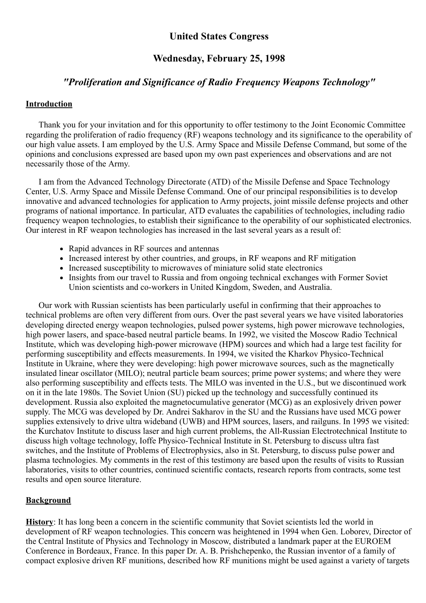# United States Congress

## Wednesday, February 25, 1998

## "Proliferation and Significance of Radio Frequency Weapons Technology"

### **Introduction**

Thank you for your invitation and for this opportunity to offer testimony to the Joint Economic Committee regarding the proliferation of radio frequency (RF) weapons technology and its significance to the operability of our high value assets. I am employed by the U.S. Army Space and Missile Defense Command, but some of the opinions and conclusions expressed are based upon my own past experiences and observations and are not necessarily those of the Army.

I am from the Advanced Technology Directorate (ATD) of the Missile Defense and Space Technology Center, U.S. Army Space and Missile Defense Command. One of our principal responsibilities is to develop innovative and advanced technologies for application to Army projects, joint missile defense projects and other programs of national importance. In particular, ATD evaluates the capabilities of technologies, including radio frequency weapon technologies, to establish their significance to the operability of our sophisticated electronics. Our interest in RF weapon technologies has increased in the last several years as a result of:

- Rapid advances in RF sources and antennas
- Increased interest by other countries, and groups, in RF weapons and RF mitigation
- Increased susceptibility to microwaves of miniature solid state electronics
- Insights from our travel to Russia and from ongoing technical exchanges with Former Soviet Union scientists and co-workers in United Kingdom, Sweden, and Australia.

Our work with Russian scientists has been particularly useful in confirming that their approaches to technical problems are often very different from ours. Over the past several years we have visited laboratories developing directed energy weapon technologies, pulsed power systems, high power microwave technologies, high power lasers, and space-based neutral particle beams. In 1992, we visited the Moscow Radio Technical Institute, which was developing high-power microwave (HPM) sources and which had a large test facility for performing susceptibility and effects measurements. In 1994, we visited the Kharkov Physico-Technical Institute in Ukraine, where they were developing: high power microwave sources, such as the magnetically insulated linear oscillator (MILO); neutral particle beam sources; prime power systems; and where they were also performing susceptibility and effects tests. The MILO was invented in the U.S., but we discontinued work on it in the late 1980s. The Soviet Union (SU) picked up the technology and successfully continued its development. Russia also exploited the magnetocumulative generator (MCG) as an explosively driven power supply. The MCG was developed by Dr. Andrei Sakharov in the SU and the Russians have used MCG power supplies extensively to drive ultra wideband (UWB) and HPM sources, lasers, and railguns. In 1995 we visited: the Kurchatov Institute to discuss laser and high current problems, the All-Russian Electrotechnical Institute to discuss high voltage technology, Ioffe Physico-Technical Institute in St. Petersburg to discuss ultra fast switches, and the Institute of Problems of Electrophysics, also in St. Petersburg, to discuss pulse power and plasma technologies. My comments in the rest of this testimony are based upon the results of visits to Russian laboratories, visits to other countries, continued scientific contacts, research reports from contracts, some test results and open source literature.

## Background

History: It has long been a concern in the scientific community that Soviet scientists led the world in development of RF weapon technologies. This concern was heightened in 1994 when Gen. Loborev, Director of the Central Institute of Physics and Technology in Moscow, distributed a landmark paper at the EUROEM Conference in Bordeaux, France. In this paper Dr. A. B. Prishchepenko, the Russian inventor of a family of compact explosive driven RF munitions, described how RF munitions might be used against a variety of targets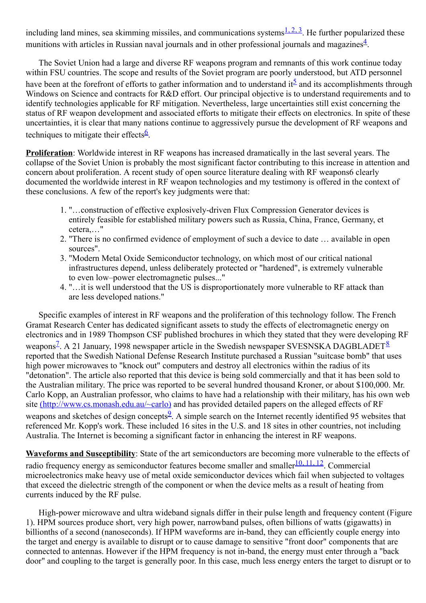including land mines, sea skimming missiles, and communications systems  $\frac{1}{2}$ . He further popularized these munitions with articles in Russian naval journals and in other professional journals and magazines $4$ .

The Soviet Union had a large and diverse RF weapons program and remnants of this work continue today within FSU countries. The scope and results of the Soviet program are poorly understood, but ATD personnel have been at the forefront of efforts to gather information and to understand it<sup>[5](#page-15-0)</sup> and its accomplishments through Windows on Science and contracts for R&D effort. Our principal objective is to understand requirements and to identify technologies applicable for RF mitigation. Nevertheless, large uncertainties still exist concerning the status of RF weapon development and associated efforts to mitigate their effects on electronics. In spite of these uncertainties, it is clear that many nations continue to aggressively pursue the development of RF weapons and techniques to mitigate their effects $6$ .

Proliferation: Worldwide interest in RF weapons has increased dramatically in the last several years. The collapse of the Soviet Union is probably the most significant factor contributing to this increase in attention and concern about proliferation. A recent study of open source literature dealing with RF weapons6 clearly documented the worldwide interest in RF weapon technologies and my testimony is offered in the context of these conclusions. A few of the report's key judgments were that:

- 1. "...construction of effective explosively-driven Flux Compression Generator devices is entirely feasible for established military powers such as Russia, China, France, Germany, et cetera,…"
- 2. "There is no confirmed evidence of employment of such a device to date … available in open sources".
- 3. "Modern Metal Oxide Semiconductor technology, on which most of our critical national infrastructures depend, unless deliberately protected or "hardened", is extremely vulnerable to even low–power electromagnetic pulses..."
- 4. "…it is well understood that the US is disproportionately more vulnerable to RF attack than are less developed nations."

Specific examples of interest in RF weapons and the proliferation of this technology follow. The French Gramat Research Center has dedicated significant assets to study the effects of electromagnetic energy on electronics and in 1989 Thompson CSF published brochures in which they stated that they were developing RF weapons<sup>2</sup>. A 21 January, 199[8](#endnot8) newspaper article in the Swedish newspaper SVESNSKA DAGBLADET<sup>8</sup> reported that the Swedish National Defense Research Institute purchased a Russian "suitcase bomb" that uses high power microwaves to "knock out" computers and destroy all electronics within the radius of its "detonation". The article also reported that this device is being sold commercially and that it has been sold to the Australian military. The price was reported to be several hundred thousand Kroner, or about \$100,000. Mr. Carlo Kopp, an Australian professor, who claims to have had a relationship with their military, has his own web site [\(http://www.cs.monash.edu.au/~carlo\)](http://www.cs.monash.edu.au/~carlo) and has provided detailed papers on the alleged effects of RF weapons and sketches of design concepts<sup>2</sup>. A simple search on the Internet recently identified [9](#endnot8)5 websites that referenced Mr. Kopp's work. These included 16 sites in the U.S. and 18 sites in other countries, not including Australia. The Internet is becoming a significant factor in enhancing the interest in RF weapons.

Waveforms and Susceptibility: State of the art semiconductors are becoming more vulnerable to the effects of radio frequency energy as semiconductor features become smaller and smaller<sup>[10,](#page-16-2) 11, 12</sup>. Commercial microelectronics make heavy use of metal oxide semiconductor devices which fail when subjected to voltages that exceed the dielectric strength of the component or when the device melts as a result of heating from currents induced by the RF pulse.

High-power microwave and ultra wideband signals differ in their pulse length and frequency content (Figure 1). HPM sources produce short, very high power, narrowband pulses, often billions of watts (gigawatts) in billionths of a second (nanoseconds). If HPM waveforms are in-band, they can efficiently couple energy into the target and energy is available to disrupt or to cause damage to sensitive "front door" components that are connected to antennas. However if the HPM frequency is not in-band, the energy must enter through a "back" door" and coupling to the target is generally poor. In this case, much less energy enters the target to disrupt or to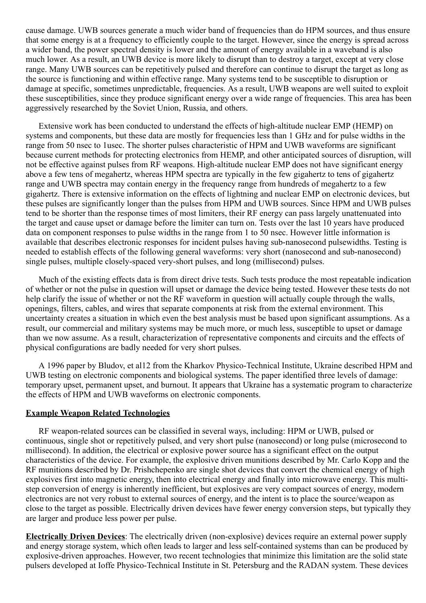cause damage. UWB sources generate a much wider band of frequencies than do HPM sources, and thus ensure that some energy is at a frequency to efficiently couple to the target. However, since the energy is spread across a wider band, the power spectral density is lower and the amount of energy available in a waveband is also much lower. As a result, an UWB device is more likely to disrupt than to destroy a target, except at very close range. Many UWB sources can be repetitively pulsed and therefore can continue to disrupt the target as long as the source is functioning and within effective range. Many systems tend to be susceptible to disruption or damage at specific, sometimes unpredictable, frequencies. As a result, UWB weapons are well suited to exploit these susceptibilities, since they produce significant energy over a wide range of frequencies. This area has been aggressively researched by the Soviet Union, Russia, and others.

Extensive work has been conducted to understand the effects of high-altitude nuclear EMP (HEMP) on systems and components, but these data are mostly for frequencies less than 1 GHz and for pulse widths in the range from 50 nsec to 1usec. The shorter pulses characteristic of HPM and UWB waveforms are significant because current methods for protecting electronics from HEMP, and other anticipated sources of disruption, will not be effective against pulses from RF weapons. High-altitude nuclear EMP does not have significant energy above a few tens of megahertz, whereas HPM spectra are typically in the few gigahertz to tens of gigahertz range and UWB spectra may contain energy in the frequency range from hundreds of megahertz to a few gigahertz. There is extensive information on the effects of lightning and nuclear EMP on electronic devices, but these pulses are significantly longer than the pulses from HPM and UWB sources. Since HPM and UWB pulses tend to be shorter than the response times of most limiters, their RF energy can pass largely unattenuated into the target and cause upset or damage before the limiter can turn on. Tests over the last 10 years have produced data on component responses to pulse widths in the range from 1 to 50 nsec. However little information is available that describes electronic responses for incident pulses having sub-nanosecond pulsewidths. Testing is needed to establish effects of the following general waveforms: very short (nanosecond and sub-nanosecond) single pulses, multiple closely-spaced very-short pulses, and long (millisecond) pulses.

Much of the existing effects data is from direct drive tests. Such tests produce the most repeatable indication of whether or not the pulse in question will upset or damage the device being tested. However these tests do not help clarify the issue of whether or not the RF waveform in question will actually couple through the walls, openings, filters, cables, and wires that separate components at risk from the external environment. This uncertainty creates a situation in which even the best analysis must be based upon significant assumptions. As a result, our commercial and military systems may be much more, or much less, susceptible to upset or damage than we now assume. As a result, characterization of representative components and circuits and the effects of physical configurations are badly needed for very short pulses.

A 1996 paper by Bludov, et al12 from the Kharkov Physico-Technical Institute, Ukraine described HPM and UWB testing on electronic components and biological systems. The paper identified three levels of damage: temporary upset, permanent upset, and burnout. It appears that Ukraine has a systematic program to characterize the effects of HPM and UWB waveforms on electronic components.

#### Example Weapon Related Technologies

RF weapon-related sources can be classified in several ways, including: HPM or UWB, pulsed or continuous, single shot or repetitively pulsed, and very short pulse (nanosecond) or long pulse (microsecond to millisecond). In addition, the electrical or explosive power source has a significant effect on the output characteristics of the device. For example, the explosive driven munitions described by Mr. Carlo Kopp and the RF munitions described by Dr. Prishchepenko are single shot devices that convert the chemical energy of high explosives first into magnetic energy, then into electrical energy and finally into microwave energy. This multistep conversion of energy is inherently inefficient, but explosives are very compact sources of energy, modern electronics are not very robust to external sources of energy, and the intent is to place the source/weapon as close to the target as possible. Electrically driven devices have fewer energy conversion steps, but typically they are larger and produce less power per pulse.

Electrically Driven Devices: The electrically driven (nonexplosive) devices require an external power supply and energy storage system, which often leads to larger and less self-contained systems than can be produced by explosive-driven approaches. However, two recent technologies that minimize this limitation are the solid state pulsers developed at Ioffe Physico-Technical Institute in St. Petersburg and the RADAN system. These devices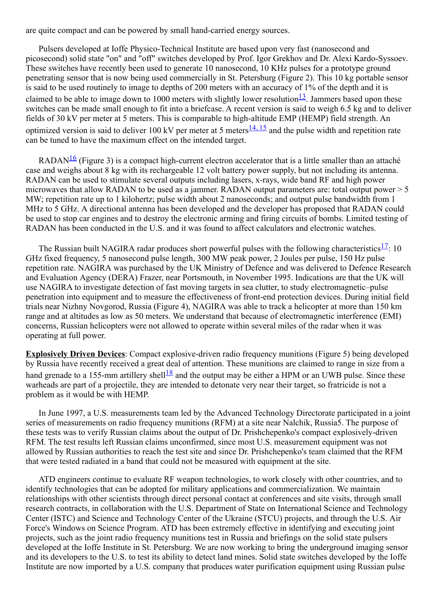are quite compact and can be powered by small hand-carried energy sources.

Pulsers developed at Ioffe Physico-Technical Institute are based upon very fast (nanosecond and picosecond) solid state "on" and "off" switches developed by Prof. Igor Grekhov and Dr. Alexi Kardo-Syssoev. These switches have recently been used to generate 10 nanosecond, 10 KHz pulses for a prototype ground penetrating sensor that is now being used commercially in St. Petersburg (Figure 2). This 10 kg portable sensor is said to be used routinely to image to depths of 200 meters with an accuracy of 1% of the depth and it is claimed to be able to image down to 1000 meters with slightly lower resolution $\frac{13}{12}$  $\frac{13}{12}$  $\frac{13}{12}$ . Jammers based upon these switches can be made small enough to fit into a briefcase. A recent version is said to weigh 6.5 kg and to deliver fields of 30 kV per meter at 5 meters. This is comparable to high-altitude EMP (HEMP) field strength. An optimized version is said to deliver 100 kV per meter at 5 meters  $\frac{14, 15}{1}$  $\frac{14, 15}{1}$  $\frac{14, 15}{1}$  and the pulse width and repetition rate can be tuned to have the maximum effect on the intended target.

RADAN<sup>[16](#endnot16)</sup> (Figure 3) is a compact high-current electron accelerator that is a little smaller than an attaché case and weighs about 8 kg with its rechargeable 12 volt battery power supply, but not including its antenna. RADAN can be used to stimulate several outputs including lasers, x-rays, wide band RF and high power microwaves that allow RADAN to be used as a jammer. RADAN output parameters are: total output power > 5 MW; repetition rate up to 1 kilohertz; pulse width about 2 nanoseconds; and output pulse bandwidth from 1 MHz to 5 GHz. A directional antenna has been developed and the developer has proposed that RADAN could be used to stop car engines and to destroy the electronic arming and firing circuits of bombs. Limited testing of RADAN has been conducted in the U.S. and it was found to affect calculators and electronic watches.

The Russian built NAGIRA radar produces short powerful pulses with the following characteristics $\frac{17}{1}$  $\frac{17}{1}$  $\frac{17}{1}$ : 10 GHz fixed frequency, 5 nanosecond pulse length, 300 MW peak power, 2 Joules per pulse, 150 Hz pulse repetition rate. NAGIRA was purchased by the UK Ministry of Defence and was delivered to Defence Research and Evaluation Agency (DERA) Frazer, near Portsmouth, in November 1995. Indications are that the UK will use NAGIRA to investigate detection of fast moving targets in sea clutter, to study electromagnetic–pulse penetration into equipment and to measure the effectiveness of front-end protection devices. During initial field trials near Nizhny Novgorod, Russia (Figure 4), NAGIRA was able to track a helicopter at more than 150 km range and at altitudes as low as 50 meters. We understand that because of electromagnetic interference (EMI) concerns, Russian helicopters were not allowed to operate within several miles of the radar when it was operating at full power.

**Explosively Driven Devices:** Compact explosive-driven radio frequency munitions (Figure 5) being developed by Russia have recently received a great deal of attention. These munitions are claimed to range in size from a hand grenade to a 155-mm artillery shell $\frac{18}{5}$  $\frac{18}{5}$  $\frac{18}{5}$  and the output may be either a HPM or an UWB pulse. Since these warheads are part of a projectile, they are intended to detonate very near their target, so fratricide is not a problem as it would be with HEMP.

In June 1997, a U.S. measurements team led by the Advanced Technology Directorate participated in a joint series of measurements on radio frequency munitions (RFM) at a site near Nalchik, Russia5. The purpose of these tests was to verify Russian claims about the output of Dr. Prishchepenko's compact explosively-driven RFM. The test results left Russian claims unconfirmed, since most U.S. measurement equipment was not allowed by Russian authorities to reach the test site and since Dr. Prishchepenko's team claimed that the RFM that were tested radiated in a band that could not be measured with equipment at the site.

ATD engineers continue to evaluate RF weapon technologies, to work closely with other countries, and to identify technologies that can be adopted for military applications and commercialization. We maintain relationships with other scientists through direct personal contact at conferences and site visits, through small research contracts, in collaboration with the U.S. Department of State on International Science and Technology Center (ISTC) and Science and Technology Center of the Ukraine (STCU) projects, and through the U.S. Air Force's Windows on Science Program. ATD has been extremely effective in identifying and executing joint projects, such as the joint radio frequency munitions test in Russia and briefings on the solid state pulsers developed at the Ioffe Institute in St. Petersburg. We are now working to bring the underground imaging sensor and its developers to the U.S. to test its ability to detect land mines. Solid state switches developed by the Ioffe Institute are now imported by a U.S. company that produces water purification equipment using Russian pulse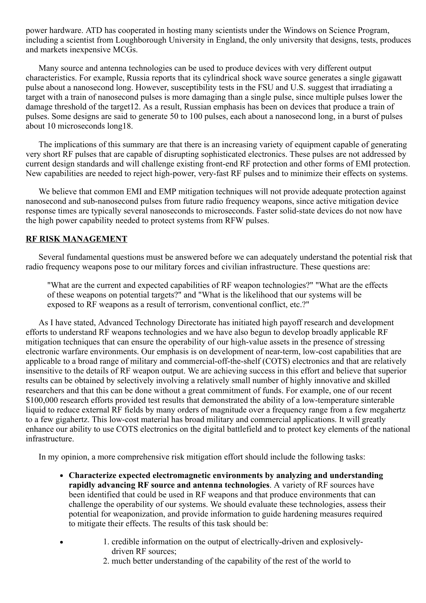power hardware. ATD has cooperated in hosting many scientists under the Windows on Science Program, including a scientist from Loughborough University in England, the only university that designs, tests, produces and markets inexpensive MCGs.

Many source and antenna technologies can be used to produce devices with very different output characteristics. For example, Russia reports that its cylindrical shock wave source generates a single gigawatt pulse about a nanosecond long. However, susceptibility tests in the FSU and U.S. suggest that irradiating a target with a train of nanosecond pulses is more damaging than a single pulse, since multiple pulses lower the damage threshold of the target12. As a result, Russian emphasis has been on devices that produce a train of pulses. Some designs are said to generate 50 to 100 pulses, each about a nanosecond long, in a burst of pulses about 10 microseconds long18.

The implications of this summary are that there is an increasing variety of equipment capable of generating very short RF pulses that are capable of disrupting sophisticated electronics. These pulses are not addressed by current design standards and will challenge existing front-end RF protection and other forms of EMI protection. New capabilities are needed to reject high-power, very-fast RF pulses and to minimize their effects on systems.

We believe that common EMI and EMP mitigation techniques will not provide adequate protection against nanosecond and sub-nanosecond pulses from future radio frequency weapons, since active mitigation device response times are typically several nanoseconds to microseconds. Faster solid-state devices do not now have the high power capability needed to protect systems from RFW pulses.

## RF RISK MANAGEMENT

Several fundamental questions must be answered before we can adequately understand the potential risk that radio frequency weapons pose to our military forces and civilian infrastructure. These questions are:

"What are the current and expected capabilities of RF weapon technologies?" "What are the effects of these weapons on potential targets?" and "What is the likelihood that our systems will be exposed to RF weapons as a result of terrorism, conventional conflict, etc.?"

As I have stated, Advanced Technology Directorate has initiated high payoff research and development efforts to understand RF weapons technologies and we have also begun to develop broadly applicable RF mitigation techniques that can ensure the operability of our high-value assets in the presence of stressing electronic warfare environments. Our emphasis is on development of near-term, low-cost capabilities that are applicable to a broad range of military and commercial-off-the-shelf (COTS) electronics and that are relatively insensitive to the details of RF weapon output. We are achieving success in this effort and believe that superior results can be obtained by selectively involving a relatively small number of highly innovative and skilled researchers and that this can be done without a great commitment of funds. For example, one of our recent \$100,000 research efforts provided test results that demonstrated the ability of a low-temperature sinterable liquid to reduce external RF fields by many orders of magnitude over a frequency range from a few megahertz to a few gigahertz. This low-cost material has broad military and commercial applications. It will greatly enhance our ability to use COTS electronics on the digital battlefield and to protect key elements of the national infrastructure.

In my opinion, a more comprehensive risk mitigation effort should include the following tasks:

- Characterize expected electromagnetic environments by analyzing and understanding rapidly advancing RF source and antenna technologies. A variety of RF sources have been identified that could be used in RF weapons and that produce environments that can challenge the operability of our systems. We should evaluate these technologies, assess their potential for weaponization, and provide information to guide hardening measures required to mitigate their effects. The results of this task should be:
	- 1. credible information on the output of electrically-driven and explosivelydriven RF sources;
		- 2. much better understanding of the capability of the rest of the world to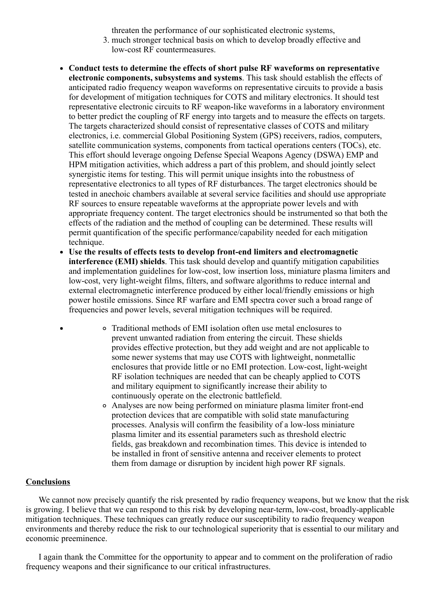threaten the performance of our sophisticated electronic systems,

- 3. much stronger technical basis on which to develop broadly effective and low-cost RF countermeasures.
- Conduct tests to determine the effects of short pulse RF waveforms on representative electronic components, subsystems and systems. This task should establish the effects of anticipated radio frequency weapon waveforms on representative circuits to provide a basis for development of mitigation techniques for COTS and military electronics. It should test representative electronic circuits to RF weapon-like waveforms in a laboratory environment to better predict the coupling of RF energy into targets and to measure the effects on targets. The targets characterized should consist of representative classes of COTS and military electronics, i.e. commercial Global Positioning System (GPS) receivers, radios, computers, satellite communication systems, components from tactical operations centers (TOCs), etc. This effort should leverage ongoing Defense Special Weapons Agency (DSWA) EMP and HPM mitigation activities, which address a part of this problem, and should jointly select synergistic items for testing. This will permit unique insights into the robustness of representative electronics to all types of RF disturbances. The target electronics should be tested in anechoic chambers available at several service facilities and should use appropriate RF sources to ensure repeatable waveforms at the appropriate power levels and with appropriate frequency content. The target electronics should be instrumented so that both the effects of the radiation and the method of coupling can be determined. These results will permit quantification of the specific performance/capability needed for each mitigation technique.
- $\bullet$ Use the results of effects tests to develop front-end limiters and electromagnetic interference (EMI) shields. This task should develop and quantify mitigation capabilities and implementation guidelines for low-cost, low insertion loss, miniature plasma limiters and low-cost, very light-weight films, filters, and software algorithms to reduce internal and external electromagnetic interference produced by either local/friendly emissions or high power hostile emissions. Since RF warfare and EMI spectra cover such a broad range of frequencies and power levels, several mitigation techniques will be required.
	- Traditional methods of EMI isolation often use metal enclosures to prevent unwanted radiation from entering the circuit. These shields provides effective protection, but they add weight and are not applicable to some newer systems that may use COTS with lightweight, nonmetallic enclosures that provide little or no EMI protection. Low-cost, light-weight RF isolation techniques are needed that can be cheaply applied to COTS and military equipment to significantly increase their ability to continuously operate on the electronic battlefield.
		- Analyses are now being performed on miniature plasma limiter frontend protection devices that are compatible with solid state manufacturing processes. Analysis will confirm the feasibility of a low-loss miniature plasma limiter and its essential parameters such as threshold electric fields, gas breakdown and recombination times. This device is intended to be installed in front of sensitive antenna and receiver elements to protect them from damage or disruption by incident high power RF signals.

#### **Conclusions**

We cannot now precisely quantify the risk presented by radio frequency weapons, but we know that the risk is growing. I believe that we can respond to this risk by developing near-term, low-cost, broadly-applicable mitigation techniques. These techniques can greatly reduce our susceptibility to radio frequency weapon environments and thereby reduce the risk to our technological superiority that is essential to our military and economic preeminence.

I again thank the Committee for the opportunity to appear and to comment on the proliferation of radio frequency weapons and their significance to our critical infrastructures.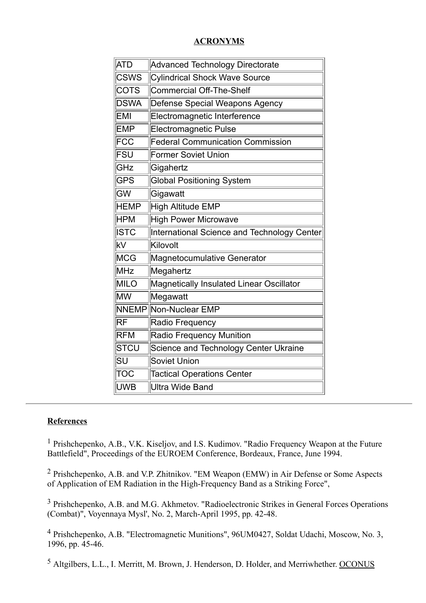## **ACRONYMS**

| <b>ATD</b><br>Advanced Technology Directorate<br><b>CSWS</b><br><b>Cylindrical Shock Wave Source</b><br><b>COTS</b><br>Commercial Off-The-Shelf<br><b>DSWA</b><br>Defense Special Weapons Agency<br>EMI<br>Electromagnetic Interference<br><b>EMP</b><br>Electromagnetic Pulse |  |
|--------------------------------------------------------------------------------------------------------------------------------------------------------------------------------------------------------------------------------------------------------------------------------|--|
|                                                                                                                                                                                                                                                                                |  |
|                                                                                                                                                                                                                                                                                |  |
|                                                                                                                                                                                                                                                                                |  |
|                                                                                                                                                                                                                                                                                |  |
|                                                                                                                                                                                                                                                                                |  |
|                                                                                                                                                                                                                                                                                |  |
| FCC<br><b>Federal Communication Commission</b>                                                                                                                                                                                                                                 |  |
| FSU<br><b>Former Soviet Union</b>                                                                                                                                                                                                                                              |  |
| GHz<br>Gigahertz                                                                                                                                                                                                                                                               |  |
| <b>GPS</b><br><b>Global Positioning System</b>                                                                                                                                                                                                                                 |  |
| $\overline{\text{GW}}$<br>Gigawatt                                                                                                                                                                                                                                             |  |
| <b>HEMP</b><br><b>High Altitude EMP</b>                                                                                                                                                                                                                                        |  |
| <b>High Power Microwave</b><br><b>HPM</b>                                                                                                                                                                                                                                      |  |
| <b>ISTC</b><br>International Science and Technology Center                                                                                                                                                                                                                     |  |
| kV<br>Kilovolt                                                                                                                                                                                                                                                                 |  |
| MCG<br>Magnetocumulative Generator                                                                                                                                                                                                                                             |  |
| MHz<br>Megahertz                                                                                                                                                                                                                                                               |  |
| <b>MILO</b><br>Magnetically Insulated Linear Oscillator                                                                                                                                                                                                                        |  |
| lmw<br>Megawatt                                                                                                                                                                                                                                                                |  |
| <b>NNEMP Non-Nuclear EMP</b>                                                                                                                                                                                                                                                   |  |
| $R$ F<br>Radio Frequency                                                                                                                                                                                                                                                       |  |
| <b>RFM</b><br>Radio Frequency Munition                                                                                                                                                                                                                                         |  |
| <b>STCU</b><br>Science and Technology Center Ukraine                                                                                                                                                                                                                           |  |
| SU<br><b>Soviet Union</b>                                                                                                                                                                                                                                                      |  |
| <b>TOC</b><br><b>Tactical Operations Center</b>                                                                                                                                                                                                                                |  |
| <b>UWB</b><br>Ultra Wide Band                                                                                                                                                                                                                                                  |  |

## **References**

<sup>1</sup> Prishchepenko, A.B., V.K. Kiseljov, and I.S. Kudimov. "Radio Frequency Weapon at the Future Battlefield", Proceedings of the EUROEM Conference, Bordeaux, France, June 1994.

 $2$  Prishchepenko, A.B. and V.P. Zhitnikov. "EM Weapon (EMW) in Air Defense or Some Aspects of Application of EM Radiation in the High-Frequency Band as a Striking Force",

<span id="page-15-0"></span><sup>3</sup> Prishchepenko, A.B. and M.G. Akhmetov. "Radioelectronic Strikes in General Forces Operations  $(Combat)$ ", Voyennaya Mysl', No. 2, March-April 1995, pp. 42-48.

<sup>4</sup> Prishchepenko, A.B. "Electromagnetic Munitions", 96UM0427, Soldat Udachi, Moscow, No. 3, 1996, pp. 45-46.

<sup>5</sup> Altgilbers, L.L., I. Merritt, M. Brown, J. Henderson, D. Holder, and Merriwhether. OCONUS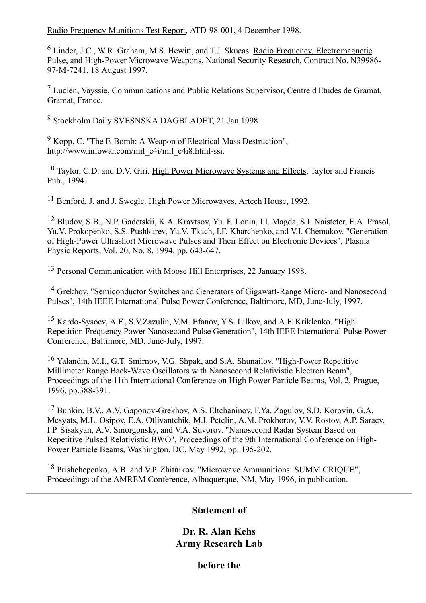Radio Frequency Munitions Test Report, ATD-98-001, 4 December 1998.

<sup>6</sup> Linder, J.C., W.R. Graham, M.S. Hewitt, and T.J. Skucas. Radio Frequency, Electromagnetic Pulse, and High-Power Microwave Weapons, National Security Research, Contract No. N39986-97-M-7241, 18 August 1997.

 $<sup>7</sup>$  Lucien, Vayssie, Communications and Public Relations Supervisor, Centre d'Etudes de Gramat,</sup> Gramat, France.

<sup>8</sup> Stockholm Daily SVESNSKA DAGBLADET, 21 Jan 1998

 $9$  Kopp, C. "The E-Bomb: A Weapon of Electrical Mass Destruction", http://www.infowar.com/mil\_c4i/mil\_c4i8.html-ssi.

<span id="page-16-2"></span><sup>10</sup> Taylor, C.D. and D.V. Giri. High Power Microwave Systems and Effects, Taylor and Francis Pub., 1994.

<sup>11</sup> Benford, J. and J. Swegle. High Power Microwaves, Artech House, 1992.

<span id="page-16-3"></span><sup>12</sup> Bludov, S.B., N.P. Gadetskii, K.A. Kravtsov, Yu. F. Lonin, I.I. Magda, S.I. Naisteter, E.A. Prasol, Yu.V. Prokopenko, S.S. Pushkarev, Yu.V. Tkach, I.F. Kharchenko, and V.I. Chemakov. "Generation of High-Power Ultrashort Microwave Pulses and Their Effect on Electronic Devices", Plasma Physic Reports, Vol. 20, No. 8, 1994, pp. 643-647.

<sup>13</sup> Personal Communication with Moose Hill Enterprises, 22 January 1998.

<span id="page-16-4"></span><sup>14</sup> Grekhov, "Semiconductor Switches and Generators of Gigawatt-Range Micro- and Nanosecond Pulses", 14th IEEE International Pulse Power Conference, Baltimore, MD, June-July, 1997.

<sup>15</sup> Kardo-Sysoev, A.F., S.V.Zazulin, V.M. Efanov, Y.S. Lilkov, and A.F. Kriklenko. "High Repetition Frequency Power Nanosecond Pulse Generation", 14th IEEE International Pulse Power Conference, Baltimore, MD, June-July, 1997.

<sup>16</sup> Yalandin, M.I., G.T. Smirnov, V.G. Shpak, and S.A. Shunailov. "High-Power Repetitive Millimeter Range Back-Wave Oscillators with Nanosecond Relativistic Electron Beam", Proceedings of the 11th International Conference on High Power Particle Beams, Vol. 2, Prague, 1996, pp.388-391.

<sup>17</sup> Bunkin, B.V., A.V. Gaponov-Grekhov, A.S. Eltchaninov, F.Ya. Zagulov, S.D. Korovin, G.A. Mesyats, M.L. Osipov, E.A. Otlivantchik, M.I. Petelin, A.M. Prokhorov, V.V. Rostov, A.P. Saraev, I.P. Sisakyan, A.V. Smorgonsky, and V.A. Suvorov. "Nanosecond Radar System Based on Repetitive Pulsed Relativistic BWO", Proceedings of the 9th International Conference on High-Power Particle Beams, Washington, DC, May 1992, pp. 195-202.

<span id="page-16-1"></span><sup>18</sup> Prishchepenko, A.B. and V.P. Zhitnikov. "Microwave Ammunitions: SUMM CRIQUE", Proceedings of the AMREM Conference, Albuquerque, NM, May 1996, in publication.

## <span id="page-16-0"></span>Statement of

Dr. R. Alan Kehs Army Research Lab

before the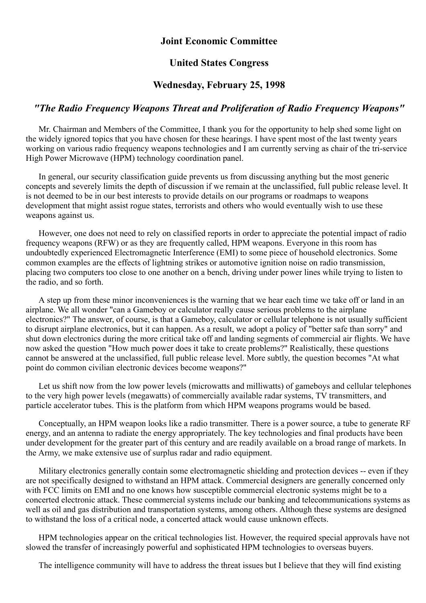## Joint Economic Committee

#### United States Congress

### Wednesday, February 25, 1998

### "The Radio Frequency Weapons Threat and Proliferation of Radio Frequency Weapons"

Mr. Chairman and Members of the Committee, I thank you for the opportunity to help shed some light on the widely ignored topics that you have chosen for these hearings. I have spent most of the last twenty years working on various radio frequency weapons technologies and I am currently serving as chair of the tri-service High Power Microwave (HPM) technology coordination panel.

In general, our security classification guide prevents us from discussing anything but the most generic concepts and severely limits the depth of discussion if we remain at the unclassified, full public release level. It is not deemed to be in our best interests to provide details on our programs or roadmaps to weapons development that might assist rogue states, terrorists and others who would eventually wish to use these weapons against us.

However, one does not need to rely on classified reports in order to appreciate the potential impact of radio frequency weapons (RFW) or as they are frequently called, HPM weapons. Everyone in this room has undoubtedly experienced Electromagnetic Interference (EMI) to some piece of household electronics. Some common examples are the effects of lightning strikes or automotive ignition noise on radio transmission, placing two computers too close to one another on a bench, driving under power lines while trying to listen to the radio, and so forth.

A step up from these minor inconveniences is the warning that we hear each time we take off or land in an airplane. We all wonder "can a Gameboy or calculator really cause serious problems to the airplane electronics?" The answer, of course, is that a Gameboy, calculator or cellular telephone is not usually sufficient to disrupt airplane electronics, but it can happen. As a result, we adopt a policy of "better safe than sorry" and shut down electronics during the more critical take off and landing segments of commercial air flights. We have now asked the question "How much power does it take to create problems?" Realistically, these questions cannot be answered at the unclassified, full public release level. More subtly, the question becomes "At what point do common civilian electronic devices become weapons?"

Let us shift now from the low power levels (microwatts and milliwatts) of gameboys and cellular telephones to the very high power levels (megawatts) of commercially available radar systems, TV transmitters, and particle accelerator tubes. This is the platform from which HPM weapons programs would be based.

Conceptually, an HPM weapon looks like a radio transmitter. There is a power source, a tube to generate RF energy, and an antenna to radiate the energy appropriately. The key technologies and final products have been under development for the greater part of this century and are readily available on a broad range of markets. In the Army, we make extensive use of surplus radar and radio equipment.

Military electronics generally contain some electromagnetic shielding and protection devices -- even if they are not specifically designed to withstand an HPM attack. Commercial designers are generally concerned only with FCC limits on EMI and no one knows how susceptible commercial electronic systems might be to a concerted electronic attack. These commercial systems include our banking and telecommunications systems as well as oil and gas distribution and transportation systems, among others. Although these systems are designed to withstand the loss of a critical node, a concerted attack would cause unknown effects.

HPM technologies appear on the critical technologies list. However, the required special approvals have not slowed the transfer of increasingly powerful and sophisticated HPM technologies to overseas buyers.

The intelligence community will have to address the threat issues but I believe that they will find existing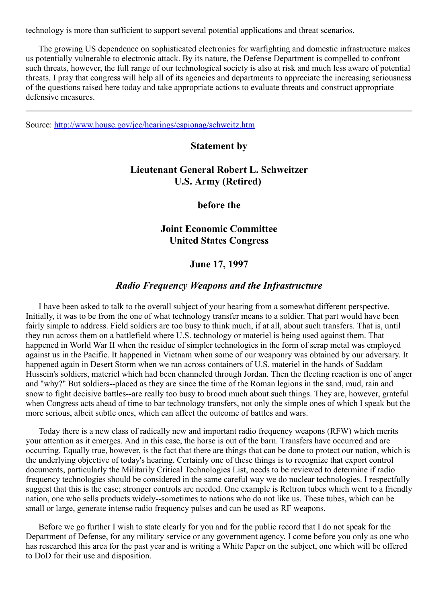technology is more than sufficient to support several potential applications and threat scenarios.

The growing US dependence on sophisticated electronics for warfighting and domestic infrastructure makes us potentially vulnerable to electronic attack. By its nature, the Defense Department is compelled to confront such threats, however, the full range of our technological society is also at risk and much less aware of potential threats. I pray that congress will help all of its agencies and departments to appreciate the increasing seriousness of the questions raised here today and take appropriate actions to evaluate threats and construct appropriate defensive measures.

Source: <http://www.house.gov/jec/hearings/espionag/schweitz.htm>

#### <span id="page-18-0"></span>Statement by

# Lieutenant General Robert L. Schweitzer U.S. Army (Retired)

before the

## Joint Economic Committee United States Congress

## June 17, 1997

#### Radio Frequency Weapons and the Infrastructure

I have been asked to talk to the overall subject of your hearing from a somewhat different perspective. Initially, it was to be from the one of what technology transfer means to a soldier. That part would have been fairly simple to address. Field soldiers are too busy to think much, if at all, about such transfers. That is, until they run across them on a battlefield where U.S. technology or materiel is being used against them. That happened in World War II when the residue of simpler technologies in the form of scrap metal was employed against us in the Pacific. It happened in Vietnam when some of our weaponry was obtained by our adversary. It happened again in Desert Storm when we ran across containers of U.S. materiel in the hands of Saddam Hussein's soldiers, materiel which had been channeled through Jordan. Then the fleeting reaction is one of anger and "why?" But soldiers--placed as they are since the time of the Roman legions in the sand, mud, rain and snow to fight decisive battles--are really too busy to brood much about such things. They are, however, grateful when Congress acts ahead of time to bar technology transfers, not only the simple ones of which I speak but the more serious, albeit subtle ones, which can affect the outcome of battles and wars.

Today there is a new class of radically new and important radio frequency weapons (RFW) which merits your attention as it emerges. And in this case, the horse is out of the barn. Transfers have occurred and are occurring. Equally true, however, is the fact that there are things that can be done to protect our nation, which is the underlying objective of today's hearing. Certainly one of these things is to recognize that export control documents, particularly the Militarily Critical Technologies List, needs to be reviewed to determine if radio frequency technologies should be considered in the same careful way we do nuclear technologies. I respectfully suggest that this is the case; stronger controls are needed. One example is Reltron tubes which went to a friendly nation, one who sells products widely-sometimes to nations who do not like us. These tubes, which can be small or large, generate intense radio frequency pulses and can be used as RF weapons.

Before we go further I wish to state clearly for you and for the public record that I do not speak for the Department of Defense, for any military service or any government agency. I come before you only as one who has researched this area for the past year and is writing a White Paper on the subject, one which will be offered to DoD for their use and disposition.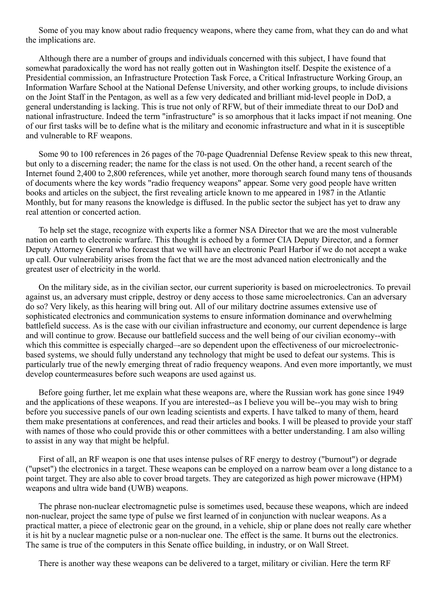Some of you may know about radio frequency weapons, where they came from, what they can do and what the implications are.

Although there are a number of groups and individuals concerned with this subject, I have found that somewhat paradoxically the word has not really gotten out in Washington itself. Despite the existence of a Presidential commission, an Infrastructure Protection Task Force, a Critical Infrastructure Working Group, an Information Warfare School at the National Defense University, and other working groups, to include divisions on the Joint Staff in the Pentagon, as well as a few very dedicated and brilliant mid-level people in DoD, a general understanding is lacking. This is true not only of RFW, but of their immediate threat to our DoD and national infrastructure. Indeed the term "infrastructure" is so amorphous that it lacks impact if not meaning. One of our first tasks will be to define what is the military and economic infrastructure and what in it is susceptible and vulnerable to RF weapons.

Some 90 to 100 references in 26 pages of the 70-page Quadrennial Defense Review speak to this new threat, but only to a discerning reader; the name for the class is not used. On the other hand, a recent search of the Internet found 2,400 to 2,800 references, while yet another, more thorough search found many tens of thousands of documents where the key words "radio frequency weapons" appear. Some very good people have written books and articles on the subject, the first revealing article known to me appeared in 1987 in the Atlantic Monthly, but for many reasons the knowledge is diffused. In the public sector the subject has yet to draw any real attention or concerted action.

To help set the stage, recognize with experts like a former NSA Director that we are the most vulnerable nation on earth to electronic warfare. This thought is echoed by a former CIA Deputy Director, and a former Deputy Attorney General who forecast that we will have an electronic Pearl Harbor if we do not accept a wake up call. Our vulnerability arises from the fact that we are the most advanced nation electronically and the greatest user of electricity in the world.

On the military side, as in the civilian sector, our current superiority is based on microelectronics. To prevail against us, an adversary must cripple, destroy or deny access to those same microelectronics. Can an adversary do so? Very likely, as this hearing will bring out. All of our military doctrine assumes extensive use of sophisticated electronics and communication systems to ensure information dominance and overwhelming battlefield success. As is the case with our civilian infrastructure and economy, our current dependence is large and will continue to grow. Because our battlefield success and the well being of our civilian economy--with which this committee is especially charged—are so dependent upon the effectiveness of our microelectronicbased systems, we should fully understand any technology that might be used to defeat our systems. This is particularly true of the newly emerging threat of radio frequency weapons. And even more importantly, we must develop countermeasures before such weapons are used against us.

Before going further, let me explain what these weapons are, where the Russian work has gone since 1949 and the applications of these weapons. If you are interested--as I believe you will be-you may wish to bring before you successive panels of our own leading scientists and experts. I have talked to many of them, heard them make presentations at conferences, and read their articles and books. I will be pleased to provide your staff with names of those who could provide this or other committees with a better understanding. I am also willing to assist in any way that might be helpful.

First of all, an RF weapon is one that uses intense pulses of RF energy to destroy ("burnout") or degrade ("upset") the electronics in a target. These weapons can be employed on a narrow beam over a long distance to a point target. They are also able to cover broad targets. They are categorized as high power microwave (HPM) weapons and ultra wide band (UWB) weapons.

The phrase non-nuclear electromagnetic pulse is sometimes used, because these weapons, which are indeed non-nuclear, project the same type of pulse we first learned of in conjunction with nuclear weapons. As a practical matter, a piece of electronic gear on the ground, in a vehicle, ship or plane does not really care whether it is hit by a nuclear magnetic pulse or a non-nuclear one. The effect is the same. It burns out the electronics. The same is true of the computers in this Senate office building, in industry, or on Wall Street.

There is another way these weapons can be delivered to a target, military or civilian. Here the term RF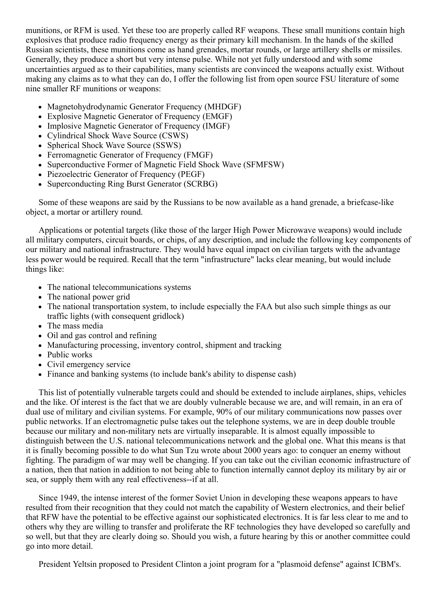munitions, or RFM is used. Yet these too are properly called RF weapons. These small munitions contain high explosives that produce radio frequency energy as their primary kill mechanism. In the hands of the skilled Russian scientists, these munitions come as hand grenades, mortar rounds, or large artillery shells or missiles. Generally, they produce a short but very intense pulse. While not yet fully understood and with some uncertainties argued as to their capabilities, many scientists are convinced the weapons actually exist. Without making any claims as to what they can do, I offer the following list from open source FSU literature of some nine smaller RF munitions or weapons:

- Magnetohydrodynamic Generator Frequency (MHDGF)
- Explosive Magnetic Generator of Frequency (EMGF)
- Implosive Magnetic Generator of Frequency (IMGF)
- Cylindrical Shock Wave Source (CSWS)
- Spherical Shock Wave Source (SSWS)
- Ferromagnetic Generator of Frequency (FMGF)
- Superconductive Former of Magnetic Field Shock Wave (SFMFSW)
- Piezoelectric Generator of Frequency (PEGF)
- Superconducting Ring Burst Generator (SCRBG)

Some of these weapons are said by the Russians to be now available as a hand grenade, a briefcase-like object, a mortar or artillery round.

Applications or potential targets (like those of the larger High Power Microwave weapons) would include all military computers, circuit boards, or chips, of any description, and include the following key components of our military and national infrastructure. They would have equal impact on civilian targets with the advantage less power would be required. Recall that the term "infrastructure" lacks clear meaning, but would include things like:

- The national telecommunications systems
- The national power grid
- The national transportation system, to include especially the FAA but also such simple things as our traffic lights (with consequent gridlock)
- The mass media
- Oil and gas control and refining
- Manufacturing processing, inventory control, shipment and tracking
- Public works
- Civil emergency service
- Finance and banking systems (to include bank's ability to dispense cash)

This list of potentially vulnerable targets could and should be extended to include airplanes, ships, vehicles and the like. Of interest is the fact that we are doubly vulnerable because we are, and will remain, in an era of dual use of military and civilian systems. For example, 90% of our military communications now passes over public networks. If an electromagnetic pulse takes out the telephone systems, we are in deep double trouble because our military and non-military nets are virtually inseparable. It is almost equally impossible to distinguish between the U.S. national telecommunications network and the global one. What this means is that it is finally becoming possible to do what Sun Tzu wrote about 2000 years ago: to conquer an enemy without fighting. The paradigm of war may well be changing. If you can take out the civilian economic infrastructure of a nation, then that nation in addition to not being able to function internally cannot deploy its military by air or sea, or supply them with any real effectiveness--if at all.

Since 1949, the intense interest of the former Soviet Union in developing these weapons appears to have resulted from their recognition that they could not match the capability of Western electronics, and their belief that RFW have the potential to be effective against our sophisticated electronics. It is far less clear to me and to others why they are willing to transfer and proliferate the RF technologies they have developed so carefully and so well, but that they are clearly doing so. Should you wish, a future hearing by this or another committee could go into more detail.

President Yeltsin proposed to President Clinton a joint program for a "plasmoid defense" against ICBM's.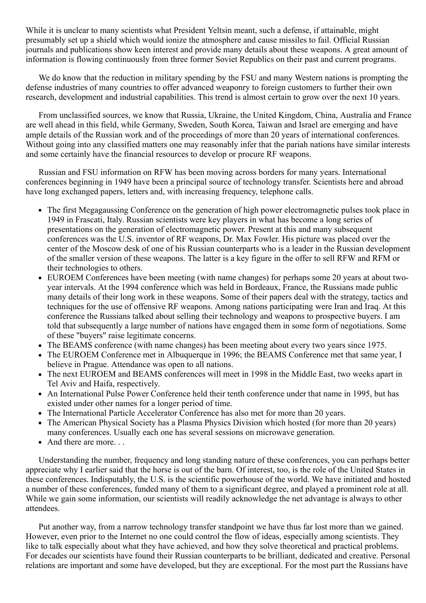While it is unclear to many scientists what President Yeltsin meant, such a defense, if attainable, might presumably set up a shield which would ionize the atmosphere and cause missiles to fail. Official Russian journals and publications show keen interest and provide many details about these weapons. A great amount of information is flowing continuously from three former Soviet Republics on their past and current programs.

We do know that the reduction in military spending by the FSU and many Western nations is prompting the defense industries of many countries to offer advanced weaponry to foreign customers to further their own research, development and industrial capabilities. This trend is almost certain to grow over the next 10 years.

From unclassified sources, we know that Russia, Ukraine, the United Kingdom, China, Australia and France are well ahead in this field, while Germany, Sweden, South Korea, Taiwan and Israel are emerging and have ample details of the Russian work and of the proceedings of more than 20 years of international conferences. Without going into any classified matters one may reasonably infer that the pariah nations have similar interests and some certainly have the financial resources to develop or procure RF weapons.

Russian and FSU information on RFW has been moving across borders for many years. International conferences beginning in 1949 have been a principal source of technology transfer. Scientists here and abroad have long exchanged papers, letters and, with increasing frequency, telephone calls.

- The first Megagaussing Conference on the generation of high power electromagnetic pulses took place in 1949 in Frascati, Italy. Russian scientists were key players in what has become a long series of presentations on the generation of electromagnetic power. Present at this and many subsequent conferences was the U.S. inventor of RF weapons, Dr. Max Fowler. His picture was placed over the center of the Moscow desk of one of his Russian counterparts who is a leader in the Russian development of the smaller version of these weapons. The latter is a key figure in the offer to sell RFW and RFM or their technologies to others.
- EUROEM Conferences have been meeting (with name changes) for perhaps some 20 years at about twoyear intervals. At the 1994 conference which was held in Bordeaux, France, the Russians made public many details of their long work in these weapons. Some of their papers deal with the strategy, tactics and techniques for the use of offensive RF weapons. Among nations participating were Iran and Iraq. At this conference the Russians talked about selling their technology and weapons to prospective buyers. I am told that subsequently a large number of nations have engaged them in some form of negotiations. Some of these "buyers" raise legitimate concerns.
- The BEAMS conference (with name changes) has been meeting about every two years since 1975.
- The EUROEM Conference met in Albuquerque in 1996; the BEAMS Conference met that same year, I believe in Prague. Attendance was open to all nations.
- The next EUROEM and BEAMS conferences will meet in 1998 in the Middle East, two weeks apart in Tel Aviv and Haifa, respectively.
- An International Pulse Power Conference held their tenth conference under that name in 1995, but has existed under other names for a longer period of time.
- The International Particle Accelerator Conference has also met for more than 20 years.
- The American Physical Society has a Plasma Physics Division which hosted (for more than 20 years) many conferences. Usually each one has several sessions on microwave generation.
- And there are more...

Understanding the number, frequency and long standing nature of these conferences, you can perhaps better appreciate why I earlier said that the horse is out of the barn. Of interest, too, is the role of the United States in these conferences. Indisputably, the U.S. is the scientific powerhouse of the world. We have initiated and hosted a number of these conferences, funded many of them to a significant degree, and played a prominent role at all. While we gain some information, our scientists will readily acknowledge the net advantage is always to other attendees.

Put another way, from a narrow technology transfer standpoint we have thus far lost more than we gained. However, even prior to the Internet no one could control the flow of ideas, especially among scientists. They like to talk especially about what they have achieved, and how they solve theoretical and practical problems. For decades our scientists have found their Russian counterparts to be brilliant, dedicated and creative. Personal relations are important and some have developed, but they are exceptional. For the most part the Russians have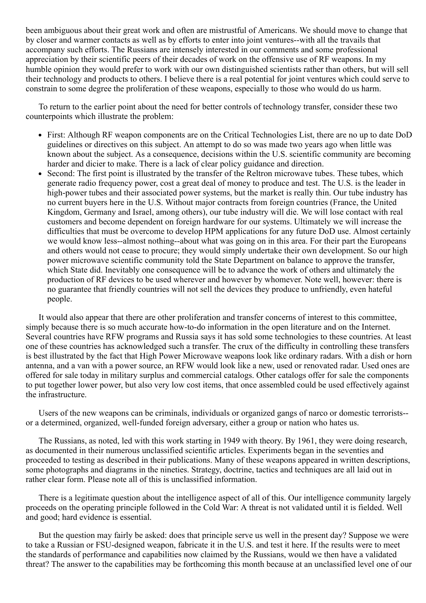been ambiguous about their great work and often are mistrustful of Americans. We should move to change that by closer and warmer contacts as well as by efforts to enter into joint ventures--with all the travails that accompany such efforts. The Russians are intensely interested in our comments and some professional appreciation by their scientific peers of their decades of work on the offensive use of RF weapons. In my humble opinion they would prefer to work with our own distinguished scientists rather than others, but will sell their technology and products to others. I believe there is a real potential for joint ventures which could serve to constrain to some degree the proliferation of these weapons, especially to those who would do us harm.

To return to the earlier point about the need for better controls of technology transfer, consider these two counterpoints which illustrate the problem:

- First: Although RF weapon components are on the Critical Technologies List, there are no up to date DoD guidelines or directives on this subject. An attempt to do so was made two years ago when little was known about the subject. As a consequence, decisions within the U.S. scientific community are becoming harder and dicier to make. There is a lack of clear policy guidance and direction.
- Second: The first point is illustrated by the transfer of the Reltron microwave tubes. These tubes, which generate radio frequency power, cost a great deal of money to produce and test. The U.S. is the leader in high-power tubes and their associated power systems, but the market is really thin. Our tube industry has no current buyers here in the U.S. Without major contracts from foreign countries (France, the United Kingdom, Germany and Israel, among others), our tube industry will die. We will lose contact with real customers and become dependent on foreign hardware for our systems. Ultimately we will increase the difficulties that must be overcome to develop HPM applications for any future DoD use. Almost certainly we would know less--almost nothing--about what was going on in this area. For their part the Europeans and others would not cease to procure; they would simply undertake their own development. So our high power microwave scientific community told the State Department on balance to approve the transfer, which State did. Inevitably one consequence will be to advance the work of others and ultimately the production of RF devices to be used wherever and however by whomever. Note well, however: there is no guarantee that friendly countries will not sell the devices they produce to unfriendly, even hateful people.

It would also appear that there are other proliferation and transfer concerns of interest to this committee, simply because there is so much accurate how-to-do information in the open literature and on the Internet. Several countries have RFW programs and Russia says it has sold some technologies to these countries. At least one of these countries has acknowledged such a transfer. The crux of the difficulty in controlling these transfers is best illustrated by the fact that High Power Microwave weapons look like ordinary radars. With a dish or horn antenna, and a van with a power source, an RFW would look like a new, used or renovated radar. Used ones are offered for sale today in military surplus and commercial catalogs. Other catalogs offer for sale the components to put together lower power, but also very low cost items, that once assembled could be used effectively against the infrastructure.

Users of the new weapons can be criminals, individuals or organized gangs of narco or domestic terrorists or a determined, organized, well-funded foreign adversary, either a group or nation who hates us.

The Russians, as noted, led with this work starting in 1949 with theory. By 1961, they were doing research, as documented in their numerous unclassified scientific articles. Experiments began in the seventies and proceeded to testing as described in their publications. Many of these weapons appeared in written descriptions, some photographs and diagrams in the nineties. Strategy, doctrine, tactics and techniques are all laid out in rather clear form. Please note all of this is unclassified information.

There is a legitimate question about the intelligence aspect of all of this. Our intelligence community largely proceeds on the operating principle followed in the Cold War: A threat is not validated until it is fielded. Well and good; hard evidence is essential.

But the question may fairly be asked: does that principle serve us well in the present day? Suppose we were to take a Russian or FSU-designed weapon, fabricate it in the U.S. and test it here. If the results were to meet the standards of performance and capabilities now claimed by the Russians, would we then have a validated threat? The answer to the capabilities may be forthcoming this month because at an unclassified level one of our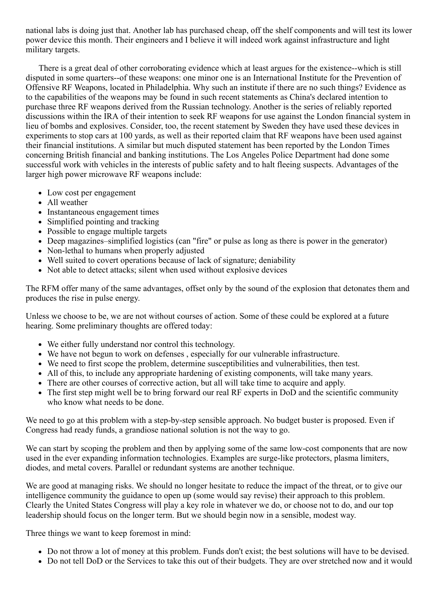national labs is doing just that. Another lab has purchased cheap, off the shelf components and will test its lower power device this month. Their engineers and I believe it will indeed work against infrastructure and light military targets.

There is a great deal of other corroborating evidence which at least argues for the existence-which is still disputed in some quarters--of these weapons: one minor one is an International Institute for the Prevention of Offensive RF Weapons, located in Philadelphia. Why such an institute if there are no such things? Evidence as to the capabilities of the weapons may be found in such recent statements as China's declared intention to purchase three RF weapons derived from the Russian technology. Another is the series of reliably reported discussions within the IRA of their intention to seek RF weapons for use against the London financial system in lieu of bombs and explosives. Consider, too, the recent statement by Sweden they have used these devices in experiments to stop cars at 100 yards, as well as their reported claim that RF weapons have been used against their financial institutions. A similar but much disputed statement has been reported by the London Times concerning British financial and banking institutions. The Los Angeles Police Department had done some successful work with vehicles in the interests of public safety and to halt fleeing suspects. Advantages of the larger high power microwave RF weapons include:

- Low cost per engagement
- All weather
- Instantaneous engagement times
- Simplified pointing and tracking
- Possible to engage multiple targets
- Deep magazines–simplified logistics (can "fire" or pulse as long as there is power in the generator)
- Non-lethal to humans when properly adjusted
- Well suited to covert operations because of lack of signature; deniability
- Not able to detect attacks; silent when used without explosive devices

The RFM offer many of the same advantages, offset only by the sound of the explosion that detonates them and produces the rise in pulse energy.

Unless we choose to be, we are not without courses of action. Some of these could be explored at a future hearing. Some preliminary thoughts are offered today:

- We either fully understand nor control this technology.
- We have not begun to work on defenses , especially for our vulnerable infrastructure.
- We need to first scope the problem, determine susceptibilities and vulnerabilities, then test.
- All of this, to include any appropriate hardening of existing components, will take many years.
- There are other courses of corrective action, but all will take time to acquire and apply.
- The first step might well be to bring forward our real RF experts in DoD and the scientific community who know what needs to be done.

We need to go at this problem with a step-by-step sensible approach. No budget buster is proposed. Even if Congress had ready funds, a grandiose national solution is not the way to go.

We can start by scoping the problem and then by applying some of the same low-cost components that are now used in the ever expanding information technologies. Examples are surge-like protectors, plasma limiters, diodes, and metal covers. Parallel or redundant systems are another technique.

We are good at managing risks. We should no longer hesitate to reduce the impact of the threat, or to give our intelligence community the guidance to open up (some would say revise) their approach to this problem. Clearly the United States Congress will play a key role in whatever we do, or choose not to do, and our top leadership should focus on the longer term. But we should begin now in a sensible, modest way.

Three things we want to keep foremost in mind:

- Do not throw a lot of money at this problem. Funds don't exist; the best solutions will have to be devised.
- Do not tell DoD or the Services to take this out of their budgets. They are over stretched now and it would